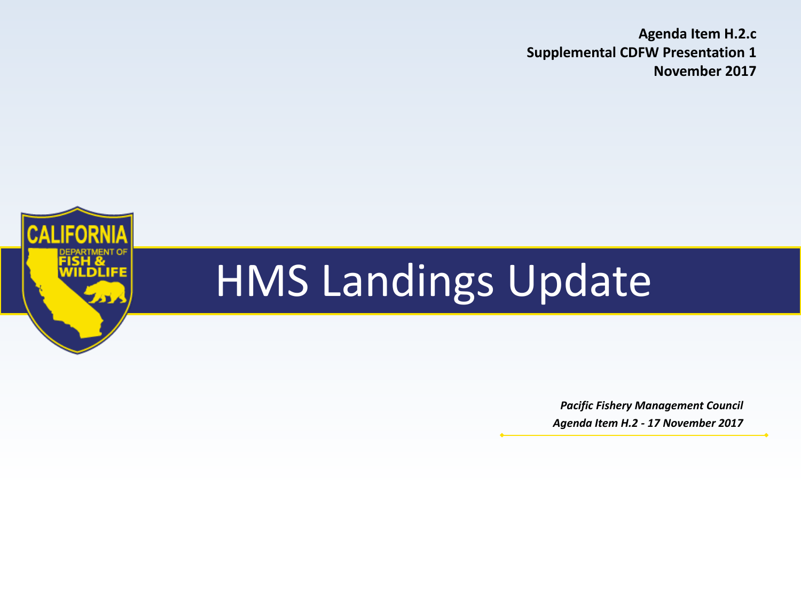**Agenda Item H.2.c Supplemental CDFW Presentation 1 November 2017**



# HMS Landings Update

*Pacific Fishery Management Council Agenda Item H.2 - 17 November 2017*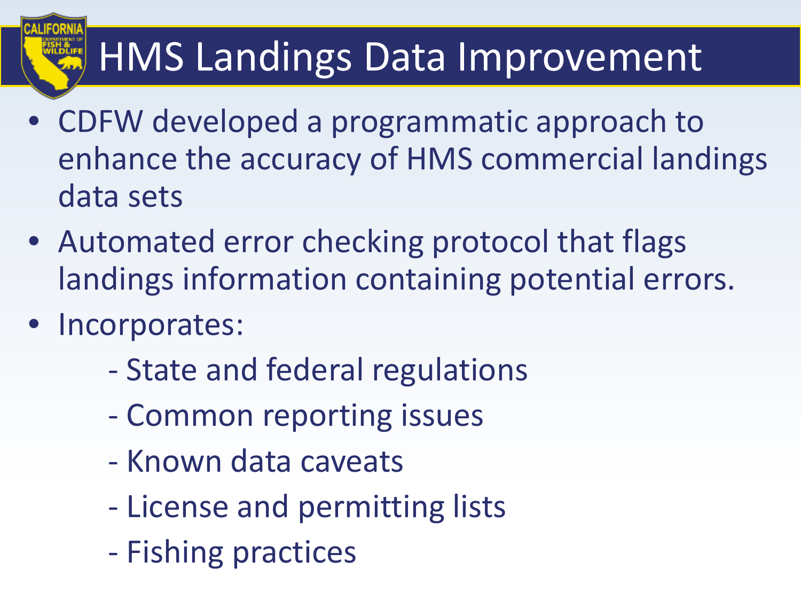## HMS Landings Data Improvement

- CDFW developed a programmatic approach to enhance the accuracy of HMS commercial landings data sets
- Automated error checking protocol that flags landings information containing potential errors.
- Incorporates:
	- State and federal regulations
	- Common reporting issues
	- Known data caveats
	- License and permitting lists
	- Fishing practices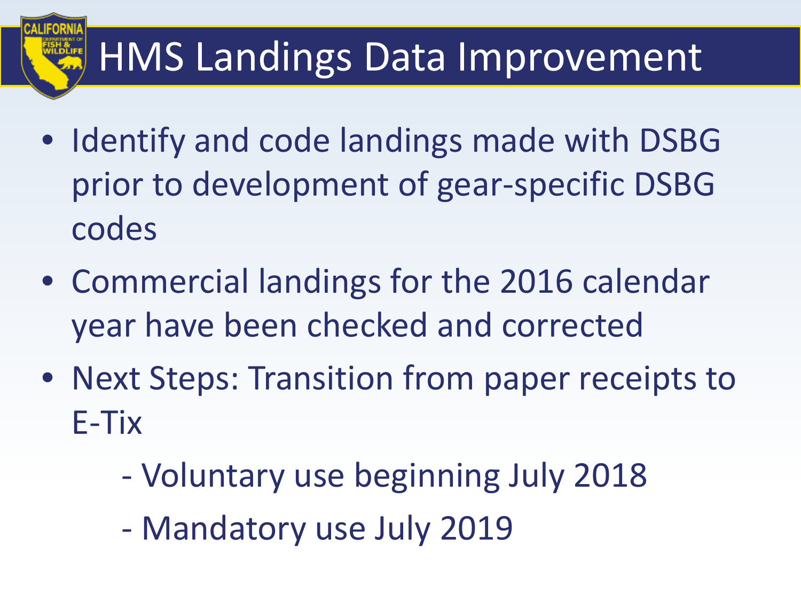## HMS Landings Data Improvement

- Identify and code landings made with DSBG prior to development of gear-specific DSBG codes
- Commercial landings for the 2016 calendar year have been checked and corrected
- Next Steps: Transition from paper receipts to E-Tix
	- Voluntary use beginning July 2018
	- Mandatory use July 2019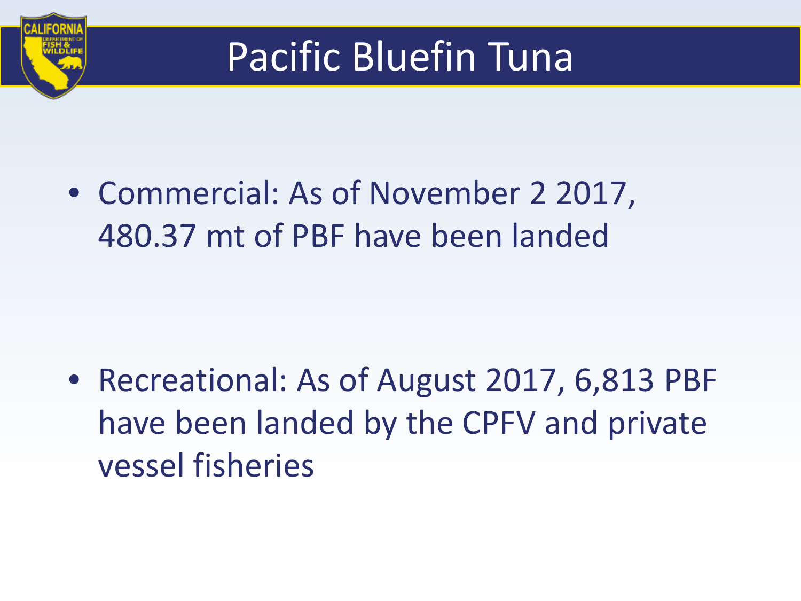

### Pacific Bluefin Tuna

• Commercial: As of November 2 2017, 480.37 mt of PBF have been landed

• Recreational: As of August 2017, 6,813 PBF have been landed by the CPFV and private vessel fisheries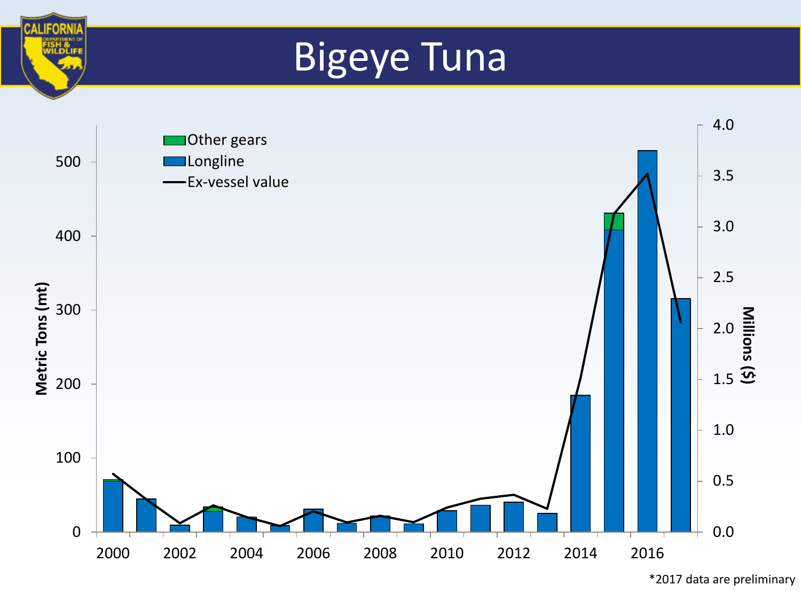### Bigeye Tuna

**CALIFORN** 



<sup>\*2017</sup> data are preliminary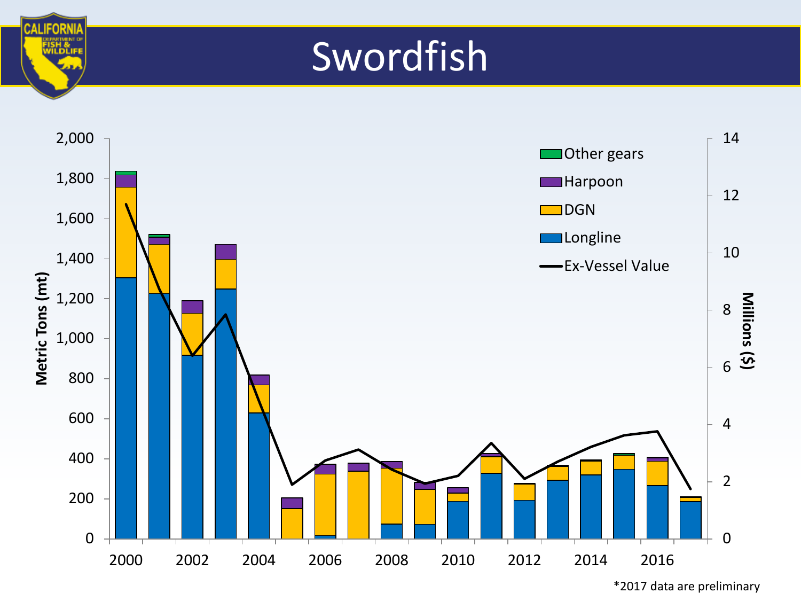#### Swordfish

**CALIFORM** 



<sup>\*2017</sup> data are preliminary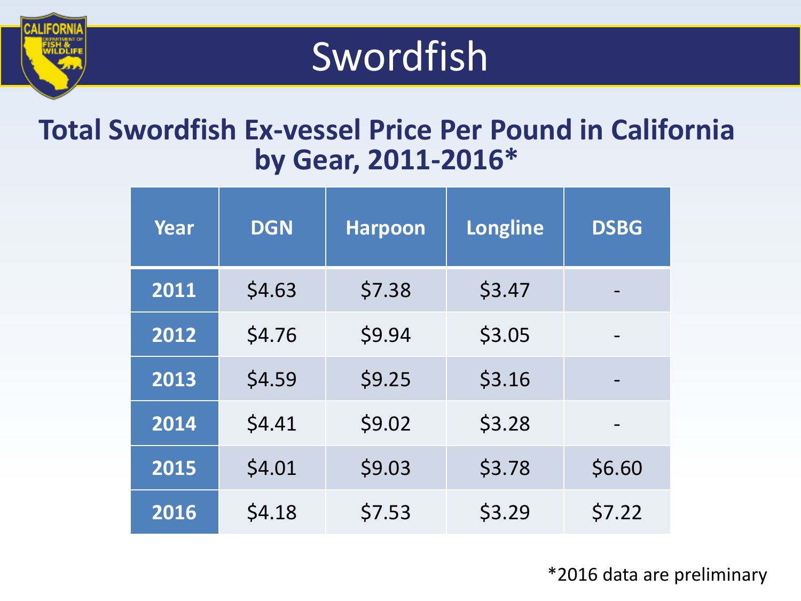#### Swordfish

#### **Total Swordfish Ex-vessel Price Per Pound in California by Gear, 2011-2016\***

| Year | <b>DGN</b> | <b>Harpoon</b> | <b>Longline</b> | <b>DSBG</b> |
|------|------------|----------------|-----------------|-------------|
| 2011 | \$4.63     | \$7.38         | \$3.47          |             |
| 2012 | \$4.76     | \$9.94         | \$3.05          |             |
| 2013 | \$4.59     | \$9.25         | \$3.16          |             |
| 2014 | \$4.41     | \$9.02         | \$3.28          |             |
| 2015 | \$4.01     | \$9.03         | \$3.78          | \$6.60      |
| 2016 | \$4.18     | \$7.53         | \$3.29          | \$7.22      |

\*2016 data are preliminary